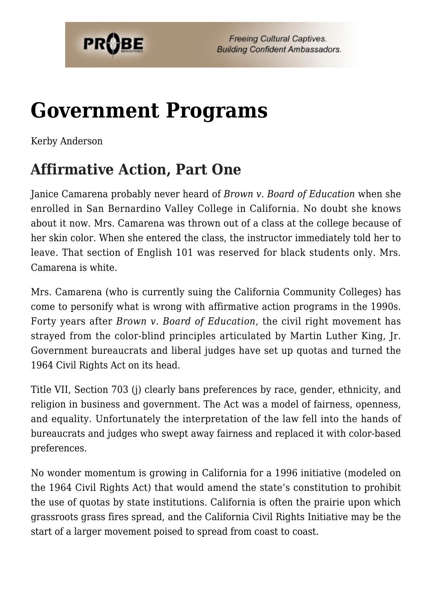

# **[Government Programs](https://probe.org/government-programs/)**

Kerby Anderson

## **Affirmative Action, Part One**

Janice Camarena probably never heard of *Brown v. Board of Education* when she enrolled in San Bernardino Valley College in California. No doubt she knows about it now. Mrs. Camarena was thrown out of a class at the college because of her skin color. When she entered the class, the instructor immediately told her to leave. That section of English 101 was reserved for black students only. Mrs. Camarena is white.

Mrs. Camarena (who is currently suing the California Community Colleges) has come to personify what is wrong with affirmative action programs in the 1990s. Forty years after *Brown v. Board of Education*, the civil right movement has strayed from the color-blind principles articulated by Martin Luther King, Jr. Government bureaucrats and liberal judges have set up quotas and turned the 1964 Civil Rights Act on its head.

Title VII, Section 703 (j) clearly bans preferences by race, gender, ethnicity, and religion in business and government. The Act was a model of fairness, openness, and equality. Unfortunately the interpretation of the law fell into the hands of bureaucrats and judges who swept away fairness and replaced it with color-based preferences.

No wonder momentum is growing in California for a 1996 initiative (modeled on the 1964 Civil Rights Act) that would amend the state's constitution to prohibit the use of quotas by state institutions. California is often the prairie upon which grassroots grass fires spread, and the California Civil Rights Initiative may be the start of a larger movement poised to spread from coast to coast.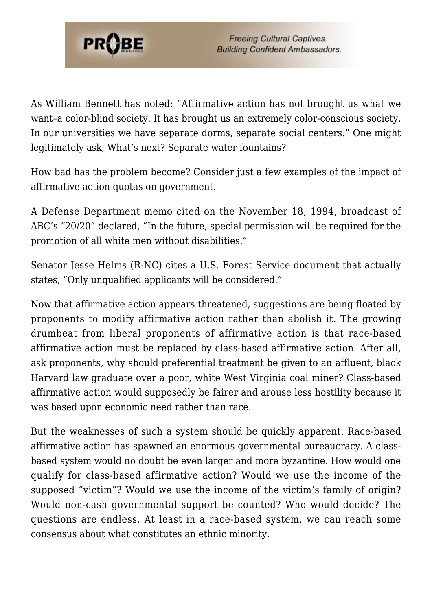

As William Bennett has noted: "Affirmative action has not brought us what we want–a color-blind society. It has brought us an extremely color-conscious society. In our universities we have separate dorms, separate social centers." One might legitimately ask, What's next? Separate water fountains?

How bad has the problem become? Consider just a few examples of the impact of affirmative action quotas on government.

A Defense Department memo cited on the November 18, 1994, broadcast of ABC's "20/20" declared, "In the future, special permission will be required for the promotion of all white men without disabilities."

Senator Jesse Helms (R-NC) cites a U.S. Forest Service document that actually states, "Only unqualified applicants will be considered."

Now that affirmative action appears threatened, suggestions are being floated by proponents to modify affirmative action rather than abolish it. The growing drumbeat from liberal proponents of affirmative action is that race-based affirmative action must be replaced by class-based affirmative action. After all, ask proponents, why should preferential treatment be given to an affluent, black Harvard law graduate over a poor, white West Virginia coal miner? Class-based affirmative action would supposedly be fairer and arouse less hostility because it was based upon economic need rather than race.

But the weaknesses of such a system should be quickly apparent. Race-based affirmative action has spawned an enormous governmental bureaucracy. A classbased system would no doubt be even larger and more byzantine. How would one qualify for class-based affirmative action? Would we use the income of the supposed "victim"? Would we use the income of the victim's family of origin? Would non-cash governmental support be counted? Who would decide? The questions are endless. At least in a race-based system, we can reach some consensus about what constitutes an ethnic minority.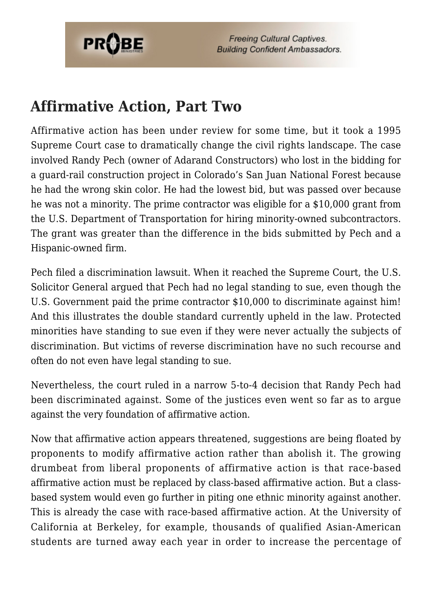

**Freeing Cultural Captives. Building Confident Ambassadors.** 

#### **Affirmative Action, Part Two**

Affirmative action has been under review for some time, but it took a 1995 Supreme Court case to dramatically change the civil rights landscape. The case involved Randy Pech (owner of Adarand Constructors) who lost in the bidding for a guard-rail construction project in Colorado's San Juan National Forest because he had the wrong skin color. He had the lowest bid, but was passed over because he was not a minority. The prime contractor was eligible for a \$10,000 grant from the U.S. Department of Transportation for hiring minority-owned subcontractors. The grant was greater than the difference in the bids submitted by Pech and a Hispanic-owned firm.

Pech filed a discrimination lawsuit. When it reached the Supreme Court, the U.S. Solicitor General argued that Pech had no legal standing to sue, even though the U.S. Government paid the prime contractor \$10,000 to discriminate against him! And this illustrates the double standard currently upheld in the law. Protected minorities have standing to sue even if they were never actually the subjects of discrimination. But victims of reverse discrimination have no such recourse and often do not even have legal standing to sue.

Nevertheless, the court ruled in a narrow 5-to-4 decision that Randy Pech had been discriminated against. Some of the justices even went so far as to argue against the very foundation of affirmative action.

Now that affirmative action appears threatened, suggestions are being floated by proponents to modify affirmative action rather than abolish it. The growing drumbeat from liberal proponents of affirmative action is that race-based affirmative action must be replaced by class-based affirmative action. But a classbased system would even go further in piting one ethnic minority against another. This is already the case with race-based affirmative action. At the University of California at Berkeley, for example, thousands of qualified Asian-American students are turned away each year in order to increase the percentage of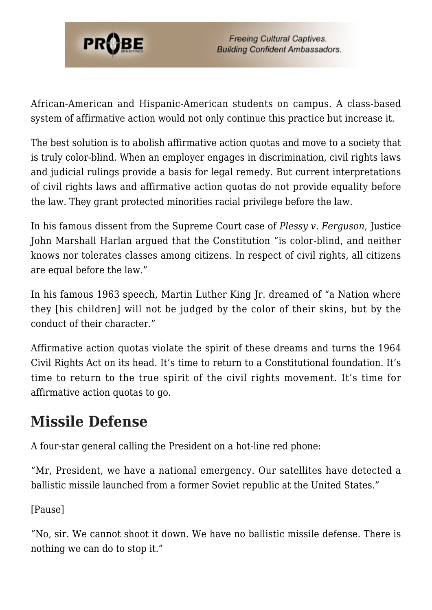

African-American and Hispanic-American students on campus. A class-based system of affirmative action would not only continue this practice but increase it.

The best solution is to abolish affirmative action quotas and move to a society that is truly color-blind. When an employer engages in discrimination, civil rights laws and judicial rulings provide a basis for legal remedy. But current interpretations of civil rights laws and affirmative action quotas do not provide equality before the law. They grant protected minorities racial privilege before the law.

In his famous dissent from the Supreme Court case of *Plessy v. Ferguson*, Justice John Marshall Harlan argued that the Constitution "is color-blind, and neither knows nor tolerates classes among citizens. In respect of civil rights, all citizens are equal before the law."

In his famous 1963 speech, Martin Luther King Jr. dreamed of "a Nation where they [his children] will not be judged by the color of their skins, but by the conduct of their character."

Affirmative action quotas violate the spirit of these dreams and turns the 1964 Civil Rights Act on its head. It's time to return to a Constitutional foundation. It's time to return to the true spirit of the civil rights movement. It's time for affirmative action quotas to go.

### **Missile Defense**

A four-star general calling the President on a hot-line red phone:

"Mr, President, we have a national emergency. Our satellites have detected a ballistic missile launched from a former Soviet republic at the United States."

[Pause]

"No, sir. We cannot shoot it down. We have no ballistic missile defense. There is nothing we can do to stop it."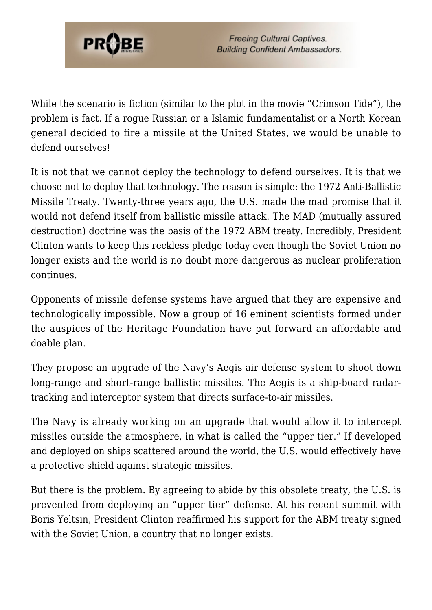

While the scenario is fiction (similar to the plot in the movie "Crimson Tide"), the problem is fact. If a rogue Russian or a Islamic fundamentalist or a North Korean general decided to fire a missile at the United States, we would be unable to defend ourselves!

It is not that we cannot deploy the technology to defend ourselves. It is that we choose not to deploy that technology. The reason is simple: the 1972 Anti-Ballistic Missile Treaty. Twenty-three years ago, the U.S. made the mad promise that it would not defend itself from ballistic missile attack. The MAD (mutually assured destruction) doctrine was the basis of the 1972 ABM treaty. Incredibly, President Clinton wants to keep this reckless pledge today even though the Soviet Union no longer exists and the world is no doubt more dangerous as nuclear proliferation continues.

Opponents of missile defense systems have argued that they are expensive and technologically impossible. Now a group of 16 eminent scientists formed under the auspices of the Heritage Foundation have put forward an affordable and doable plan.

They propose an upgrade of the Navy's Aegis air defense system to shoot down long-range and short-range ballistic missiles. The Aegis is a ship-board radartracking and interceptor system that directs surface-to-air missiles.

The Navy is already working on an upgrade that would allow it to intercept missiles outside the atmosphere, in what is called the "upper tier." If developed and deployed on ships scattered around the world, the U.S. would effectively have a protective shield against strategic missiles.

But there is the problem. By agreeing to abide by this obsolete treaty, the U.S. is prevented from deploying an "upper tier" defense. At his recent summit with Boris Yeltsin, President Clinton reaffirmed his support for the ABM treaty signed with the Soviet Union, a country that no longer exists.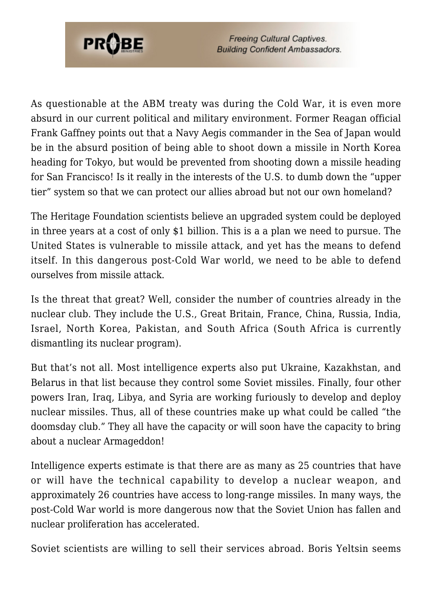

**Freeing Cultural Captives. Building Confident Ambassadors.** 

As questionable at the ABM treaty was during the Cold War, it is even more absurd in our current political and military environment. Former Reagan official Frank Gaffney points out that a Navy Aegis commander in the Sea of Japan would be in the absurd position of being able to shoot down a missile in North Korea heading for Tokyo, but would be prevented from shooting down a missile heading for San Francisco! Is it really in the interests of the U.S. to dumb down the "upper tier" system so that we can protect our allies abroad but not our own homeland?

The Heritage Foundation scientists believe an upgraded system could be deployed in three years at a cost of only \$1 billion. This is a a plan we need to pursue. The United States is vulnerable to missile attack, and yet has the means to defend itself. In this dangerous post-Cold War world, we need to be able to defend ourselves from missile attack.

Is the threat that great? Well, consider the number of countries already in the nuclear club. They include the U.S., Great Britain, France, China, Russia, India, Israel, North Korea, Pakistan, and South Africa (South Africa is currently dismantling its nuclear program).

But that's not all. Most intelligence experts also put Ukraine, Kazakhstan, and Belarus in that list because they control some Soviet missiles. Finally, four other powers Iran, Iraq, Libya, and Syria are working furiously to develop and deploy nuclear missiles. Thus, all of these countries make up what could be called "the doomsday club." They all have the capacity or will soon have the capacity to bring about a nuclear Armageddon!

Intelligence experts estimate is that there are as many as 25 countries that have or will have the technical capability to develop a nuclear weapon, and approximately 26 countries have access to long-range missiles. In many ways, the post-Cold War world is more dangerous now that the Soviet Union has fallen and nuclear proliferation has accelerated.

Soviet scientists are willing to sell their services abroad. Boris Yeltsin seems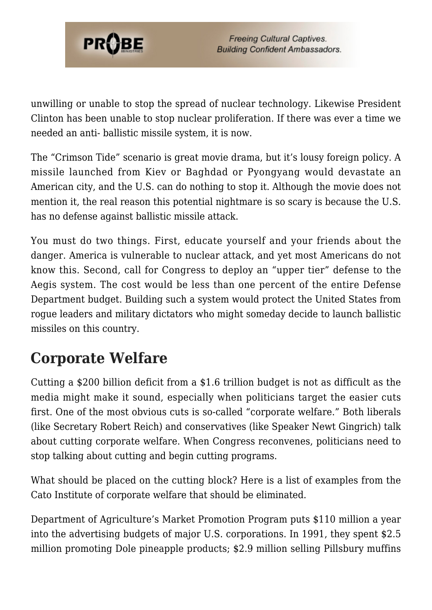

unwilling or unable to stop the spread of nuclear technology. Likewise President Clinton has been unable to stop nuclear proliferation. If there was ever a time we needed an anti- ballistic missile system, it is now.

The "Crimson Tide" scenario is great movie drama, but it's lousy foreign policy. A missile launched from Kiev or Baghdad or Pyongyang would devastate an American city, and the U.S. can do nothing to stop it. Although the movie does not mention it, the real reason this potential nightmare is so scary is because the U.S. has no defense against ballistic missile attack.

You must do two things. First, educate yourself and your friends about the danger. America is vulnerable to nuclear attack, and yet most Americans do not know this. Second, call for Congress to deploy an "upper tier" defense to the Aegis system. The cost would be less than one percent of the entire Defense Department budget. Building such a system would protect the United States from rogue leaders and military dictators who might someday decide to launch ballistic missiles on this country.

## **Corporate Welfare**

Cutting a \$200 billion deficit from a \$1.6 trillion budget is not as difficult as the media might make it sound, especially when politicians target the easier cuts first. One of the most obvious cuts is so-called "corporate welfare." Both liberals (like Secretary Robert Reich) and conservatives (like Speaker Newt Gingrich) talk about cutting corporate welfare. When Congress reconvenes, politicians need to stop talking about cutting and begin cutting programs.

What should be placed on the cutting block? Here is a list of examples from the Cato Institute of corporate welfare that should be eliminated.

Department of Agriculture's Market Promotion Program puts \$110 million a year into the advertising budgets of major U.S. corporations. In 1991, they spent \$2.5 million promoting Dole pineapple products; \$2.9 million selling Pillsbury muffins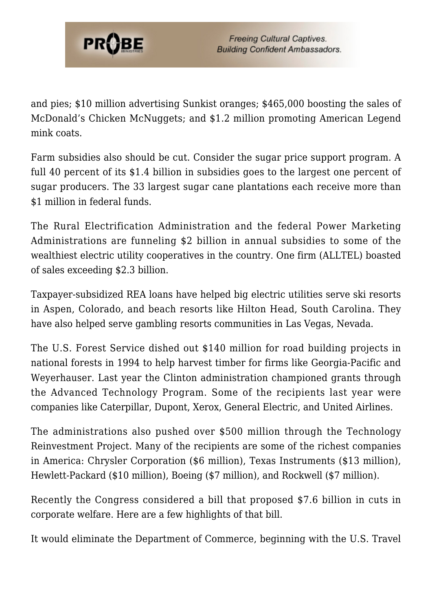

and pies; \$10 million advertising Sunkist oranges; \$465,000 boosting the sales of McDonald's Chicken McNuggets; and \$1.2 million promoting American Legend mink coats.

Farm subsidies also should be cut. Consider the sugar price support program. A full 40 percent of its \$1.4 billion in subsidies goes to the largest one percent of sugar producers. The 33 largest sugar cane plantations each receive more than \$1 million in federal funds.

The Rural Electrification Administration and the federal Power Marketing Administrations are funneling \$2 billion in annual subsidies to some of the wealthiest electric utility cooperatives in the country. One firm (ALLTEL) boasted of sales exceeding \$2.3 billion.

Taxpayer-subsidized REA loans have helped big electric utilities serve ski resorts in Aspen, Colorado, and beach resorts like Hilton Head, South Carolina. They have also helped serve gambling resorts communities in Las Vegas, Nevada.

The U.S. Forest Service dished out \$140 million for road building projects in national forests in 1994 to help harvest timber for firms like Georgia-Pacific and Weyerhauser. Last year the Clinton administration championed grants through the Advanced Technology Program. Some of the recipients last year were companies like Caterpillar, Dupont, Xerox, General Electric, and United Airlines.

The administrations also pushed over \$500 million through the Technology Reinvestment Project. Many of the recipients are some of the richest companies in America: Chrysler Corporation (\$6 million), Texas Instruments (\$13 million), Hewlett-Packard (\$10 million), Boeing (\$7 million), and Rockwell (\$7 million).

Recently the Congress considered a bill that proposed \$7.6 billion in cuts in corporate welfare. Here are a few highlights of that bill.

It would eliminate the Department of Commerce, beginning with the U.S. Travel